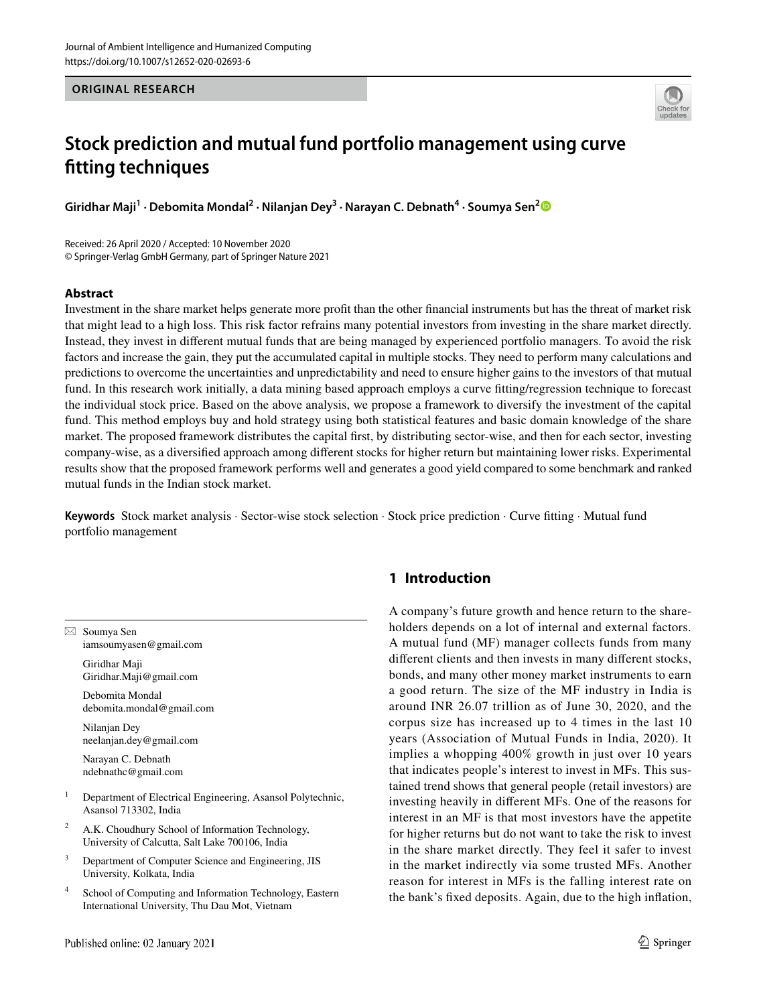**ORIGINAL RESEARCH**



# **Stock prediction and mutual fund portfolio management using curve fitting techniques**

**Giridhar Maji<sup>1</sup> · Debomita Mondal<sup>2</sup> · Nilanjan Dey<sup>3</sup> · Narayan C. Debnath<sup>4</sup> · Soumya Sen[2](http://orcid.org/0000-0002-9178-6410)**

Received: 26 April 2020 / Accepted: 10 November 2020 © Springer-Verlag GmbH Germany, part of Springer Nature 2021

#### **Abstract**

Investment in the share market helps generate more profit than the other financial instruments but has the threat of market risk that might lead to a high loss. This risk factor refrains many potential investors from investing in the share market directly. Instead, they invest in different mutual funds that are being managed by experienced portfolio managers. To avoid the risk factors and increase the gain, they put the accumulated capital in multiple stocks. They need to perform many calculations and predictions to overcome the uncertainties and unpredictability and need to ensure higher gains to the investors of that mutual fund. In this research work initially, a data mining based approach employs a curve fitting/regression technique to forecast the individual stock price. Based on the above analysis, we propose a framework to diversify the investment of the capital fund. This method employs buy and hold strategy using both statistical features and basic domain knowledge of the share market. The proposed framework distributes the capital first, by distributing sector-wise, and then for each sector, investing company-wise, as a diversified approach among different stocks for higher return but maintaining lower risks. Experimental results show that the proposed framework performs well and generates a good yield compared to some benchmark and ranked mutual funds in the Indian stock market.

**Keywords** Stock market analysis · Sector-wise stock selection · Stock price prediction · Curve fitting · Mutual fund portfolio management

 $\boxtimes$  Soumya Sen iamsoumyasen@gmail.com

> Giridhar Maji Giridhar.Maji@gmail.com

 Debomita Mondal debomita.mondal@gmail.com

 Nilanjan Dey neelanjan.dey@gmail.com

 Narayan C. Debnath ndebnathc@gmail.com

- 1 Department of Electrical Engineering, Asansol Polytechnic, Asansol 713302, India
- 2 A.K. Choudhury School of Information Technology, University of Calcutta, Salt Lake 700106, India
- 3 Department of Computer Science and Engineering, JIS University, Kolkata, India
- 4 School of Computing and Information Technology, Eastern International University, Thu Dau Mot, Vietnam

# **1 Introduction**

A company's future growth and hence return to the shareholders depends on a lot of internal and external factors. A mutual fund (MF) manager collects funds from many different clients and then invests in many different stocks, bonds, and many other money market instruments to earn a good return. The size of the MF industry in India is around INR 26.07 trillion as of June 30, 2020, and the corpus size has increased up to 4 times in the last 10 years (Association of Mutual Funds in India, 2020). It implies a whopping 400% growth in just over 10 years that indicates people's interest to invest in MFs. This sustained trend shows that general people (retail investors) are investing heavily in different MFs. One of the reasons for interest in an MF is that most investors have the appetite for higher returns but do not want to take the risk to invest in the share market directly. They feel it safer to invest in the market indirectly via some trusted MFs. Another reason for interest in MFs is the falling interest rate on the bank's fixed deposits. Again, due to the high inflation,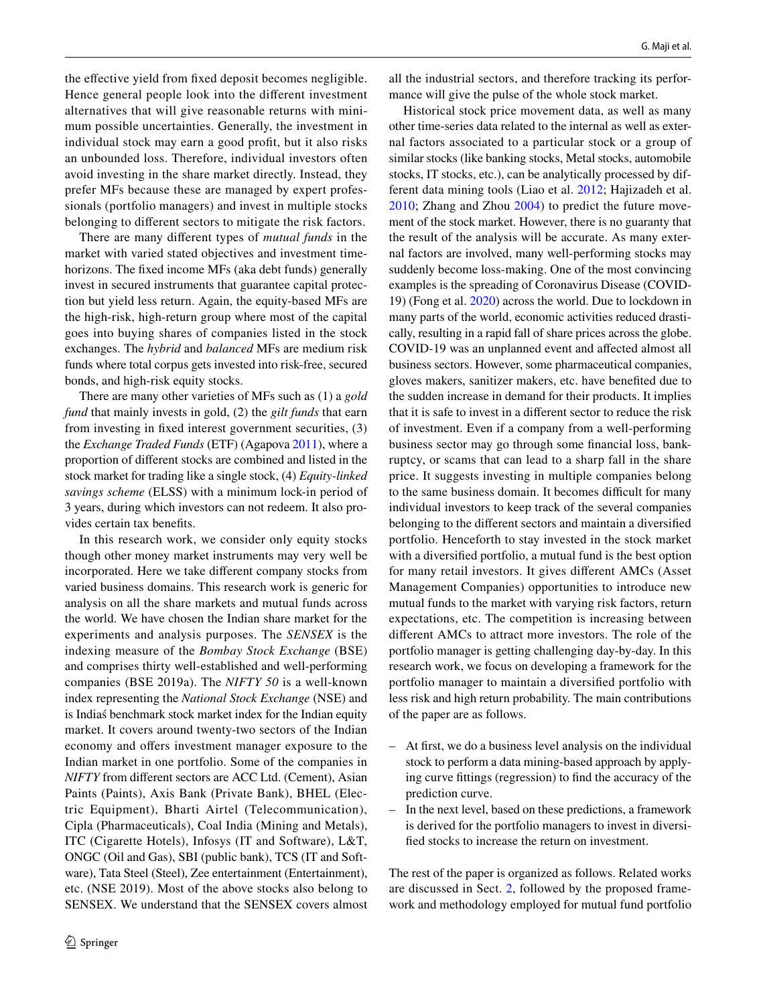the effective yield from fixed deposit becomes negligible. Hence general people look into the different investment alternatives that will give reasonable returns with minimum possible uncertainties. Generally, the investment in individual stock may earn a good profit, but it also risks an unbounded loss. Therefore, individual investors often avoid investing in the share market directly. Instead, they prefer MFs because these are managed by expert professionals (portfolio managers) and invest in multiple stocks belonging to different sectors to mitigate the risk factors.

There are many different types of *mutual funds* in the market with varied stated objectives and investment timehorizons. The fixed income MFs (aka debt funds) generally invest in secured instruments that guarantee capital protection but yield less return. Again, the equity-based MFs are the high-risk, high-return group where most of the capital goes into buying shares of companies listed in the stock exchanges. The *hybrid* and *balanced* MFs are medium risk funds where total corpus gets invested into risk-free, secured bonds, and high-risk equity stocks.

There are many other varieties of MFs such as (1) a *gold fund* that mainly invests in gold, (2) the *gilt funds* that earn from investing in fixed interest government securities, (3) the *Exchange Traded Funds* (ETF) (Agapova [2011](#page-12-0)), where a proportion of different stocks are combined and listed in the stock market for trading like a single stock, (4) *Equity-linked savings scheme* (ELSS) with a minimum lock-in period of 3 years, during which investors can not redeem. It also provides certain tax benefits.

In this research work, we consider only equity stocks though other money market instruments may very well be incorporated. Here we take different company stocks from varied business domains. This research work is generic for analysis on all the share markets and mutual funds across the world. We have chosen the Indian share market for the experiments and analysis purposes. The *SENSEX* is the indexing measure of the *Bombay Stock Exchange* (BSE) and comprises thirty well-established and well-performing companies (BSE 2019a). The *NIFTY 50* is a well-known index representing the *National Stock Exchange* (NSE) and is Indiaś benchmark stock market index for the Indian equity market. It covers around twenty-two sectors of the Indian economy and offers investment manager exposure to the Indian market in one portfolio. Some of the companies in *NIFTY* from different sectors are ACC Ltd. (Cement), Asian Paints (Paints), Axis Bank (Private Bank), BHEL (Electric Equipment), Bharti Airtel (Telecommunication), Cipla (Pharmaceuticals), Coal India (Mining and Metals), ITC (Cigarette Hotels), Infosys (IT and Software), L&T, ONGC (Oil and Gas), SBI (public bank), TCS (IT and Software), Tata Steel (Steel), Zee entertainment (Entertainment), etc. (NSE 2019). Most of the above stocks also belong to SENSEX. We understand that the SENSEX covers almost

all the industrial sectors, and therefore tracking its performance will give the pulse of the whole stock market.

Historical stock price movement data, as well as many other time-series data related to the internal as well as external factors associated to a particular stock or a group of similar stocks (like banking stocks, Metal stocks, automobile stocks, IT stocks, etc.), can be analytically processed by different data mining tools (Liao et al. [2012;](#page-12-1) Hajizadeh et al. [2010;](#page-12-2) Zhang and Zhou [2004](#page-13-0)) to predict the future movement of the stock market. However, there is no guaranty that the result of the analysis will be accurate. As many external factors are involved, many well-performing stocks may suddenly become loss-making. One of the most convincing examples is the spreading of Coronavirus Disease (COVID-19) (Fong et al. [2020\)](#page-12-3) across the world. Due to lockdown in many parts of the world, economic activities reduced drastically, resulting in a rapid fall of share prices across the globe. COVID-19 was an unplanned event and affected almost all business sectors. However, some pharmaceutical companies, gloves makers, sanitizer makers, etc. have benefited due to the sudden increase in demand for their products. It implies that it is safe to invest in a different sector to reduce the risk of investment. Even if a company from a well-performing business sector may go through some financial loss, bankruptcy, or scams that can lead to a sharp fall in the share price. It suggests investing in multiple companies belong to the same business domain. It becomes difficult for many individual investors to keep track of the several companies belonging to the different sectors and maintain a diversified portfolio. Henceforth to stay invested in the stock market with a diversified portfolio, a mutual fund is the best option for many retail investors. It gives different AMCs (Asset Management Companies) opportunities to introduce new mutual funds to the market with varying risk factors, return expectations, etc. The competition is increasing between different AMCs to attract more investors. The role of the portfolio manager is getting challenging day-by-day. In this research work, we focus on developing a framework for the portfolio manager to maintain a diversified portfolio with less risk and high return probability. The main contributions of the paper are as follows.

- At first, we do a business level analysis on the individual stock to perform a data mining-based approach by applying curve fittings (regression) to find the accuracy of the prediction curve.
- In the next level, based on these predictions, a framework is derived for the portfolio managers to invest in diversified stocks to increase the return on investment.

The rest of the paper is organized as follows. Related works are discussed in Sect. [2](#page-2-0), followed by the proposed framework and methodology employed for mutual fund portfolio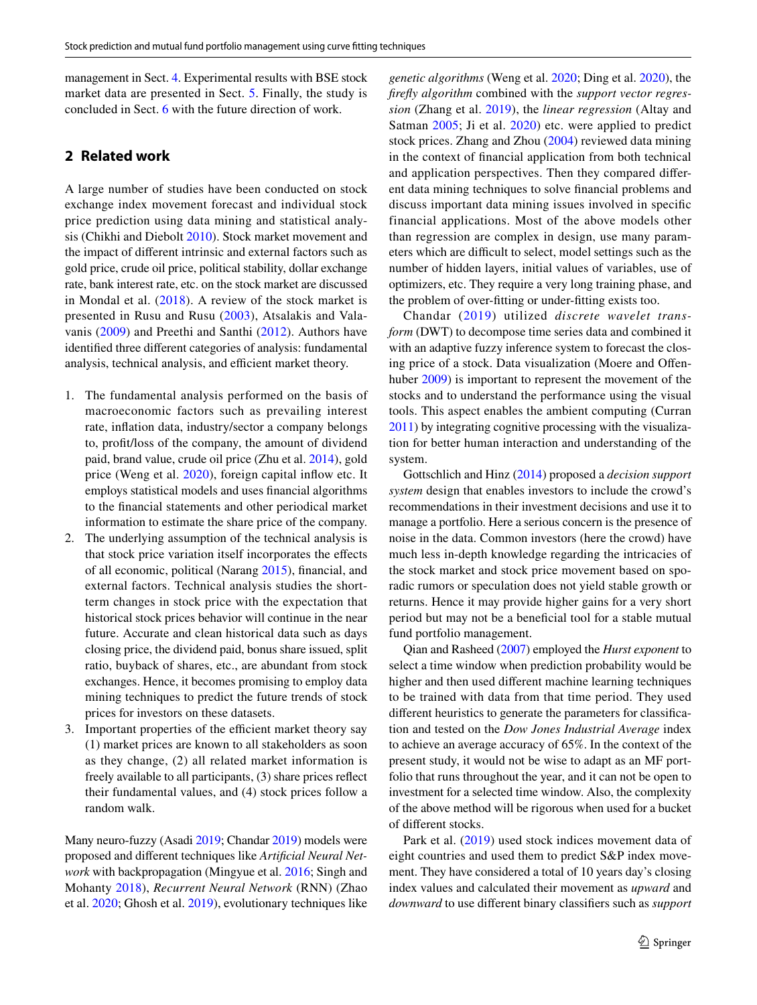management in Sect. [4](#page-3-0). Experimental results with BSE stock market data are presented in Sect. [5](#page-8-0). Finally, the study is concluded in Sect. [6](#page-11-0) with the future direction of work.

## <span id="page-2-0"></span>**2 Related work**

A large number of studies have been conducted on stock exchange index movement forecast and individual stock price prediction using data mining and statistical analysis (Chikhi and Diebolt [2010\)](#page-12-4). Stock market movement and the impact of different intrinsic and external factors such as gold price, crude oil price, political stability, dollar exchange rate, bank interest rate, etc. on the stock market are discussed in Mondal et al. ([2018](#page-12-5)). A review of the stock market is presented in Rusu and Rusu [\(2003](#page-13-1)), Atsalakis and Valavanis ([2009](#page-12-6)) and Preethi and Santhi [\(2012\)](#page-13-2). Authors have identified three different categories of analysis: fundamental analysis, technical analysis, and efficient market theory.

- 1. The fundamental analysis performed on the basis of macroeconomic factors such as prevailing interest rate, inflation data, industry/sector a company belongs to, profit/loss of the company, the amount of dividend paid, brand value, crude oil price (Zhu et al. [2014](#page-13-3)), gold price (Weng et al. [2020\)](#page-13-4), foreign capital inflow etc. It employs statistical models and uses financial algorithms to the financial statements and other periodical market information to estimate the share price of the company.
- 2. The underlying assumption of the technical analysis is that stock price variation itself incorporates the effects of all economic, political (Narang [2015](#page-13-5)), financial, and external factors. Technical analysis studies the shortterm changes in stock price with the expectation that historical stock prices behavior will continue in the near future. Accurate and clean historical data such as days closing price, the dividend paid, bonus share issued, split ratio, buyback of shares, etc., are abundant from stock exchanges. Hence, it becomes promising to employ data mining techniques to predict the future trends of stock prices for investors on these datasets.
- 3. Important properties of the efficient market theory say (1) market prices are known to all stakeholders as soon as they change, (2) all related market information is freely available to all participants, (3) share prices reflect their fundamental values, and (4) stock prices follow a random walk.

Many neuro-fuzzy (Asadi [2019;](#page-12-7) Chandar [2019\)](#page-12-8) models were proposed and different techniques like *Artificial Neural Network* with backpropagation (Mingyue et al. [2016](#page-12-9); Singh and Mohanty [2018\)](#page-13-6), *Recurrent Neural Network* (RNN) (Zhao et al. [2020;](#page-13-7) Ghosh et al. [2019](#page-12-10)), evolutionary techniques like *genetic algorithms* (Weng et al. [2020](#page-13-4); Ding et al. [2020\)](#page-12-11), the *firefly algorithm* combined with the *support vector regression* (Zhang et al. [2019\)](#page-13-8), the *linear regression* (Altay and Satman [2005](#page-12-12); Ji et al. [2020](#page-12-13)) etc. were applied to predict stock prices. Zhang and Zhou [\(2004\)](#page-13-0) reviewed data mining in the context of financial application from both technical and application perspectives. Then they compared different data mining techniques to solve financial problems and discuss important data mining issues involved in specific financial applications. Most of the above models other than regression are complex in design, use many parameters which are difficult to select, model settings such as the number of hidden layers, initial values of variables, use of optimizers, etc. They require a very long training phase, and the problem of over-fitting or under-fitting exists too.

Chandar ([2019](#page-12-8)) utilized *discrete wavelet transform* (DWT) to decompose time series data and combined it with an adaptive fuzzy inference system to forecast the closing price of a stock. Data visualization (Moere and Offenhuber [2009](#page-12-14)) is important to represent the movement of the stocks and to understand the performance using the visual tools. This aspect enables the ambient computing (Curran [2011\)](#page-12-15) by integrating cognitive processing with the visualization for better human interaction and understanding of the system.

Gottschlich and Hinz ([2014\)](#page-12-16) proposed a *decision support system* design that enables investors to include the crowd's recommendations in their investment decisions and use it to manage a portfolio. Here a serious concern is the presence of noise in the data. Common investors (here the crowd) have much less in-depth knowledge regarding the intricacies of the stock market and stock price movement based on sporadic rumors or speculation does not yield stable growth or returns. Hence it may provide higher gains for a very short period but may not be a beneficial tool for a stable mutual fund portfolio management.

Qian and Rasheed [\(2007\)](#page-13-9) employed the *Hurst exponent* to select a time window when prediction probability would be higher and then used different machine learning techniques to be trained with data from that time period. They used different heuristics to generate the parameters for classification and tested on the *Dow Jones Industrial Average* index to achieve an average accuracy of 65%. In the context of the present study, it would not be wise to adapt as an MF portfolio that runs throughout the year, and it can not be open to investment for a selected time window. Also, the complexity of the above method will be rigorous when used for a bucket of different stocks.

Park et al. ([2019\)](#page-13-10) used stock indices movement data of eight countries and used them to predict S&P index movement. They have considered a total of 10 years day's closing index values and calculated their movement as *upward* and *downward* to use different binary classifiers such as *support*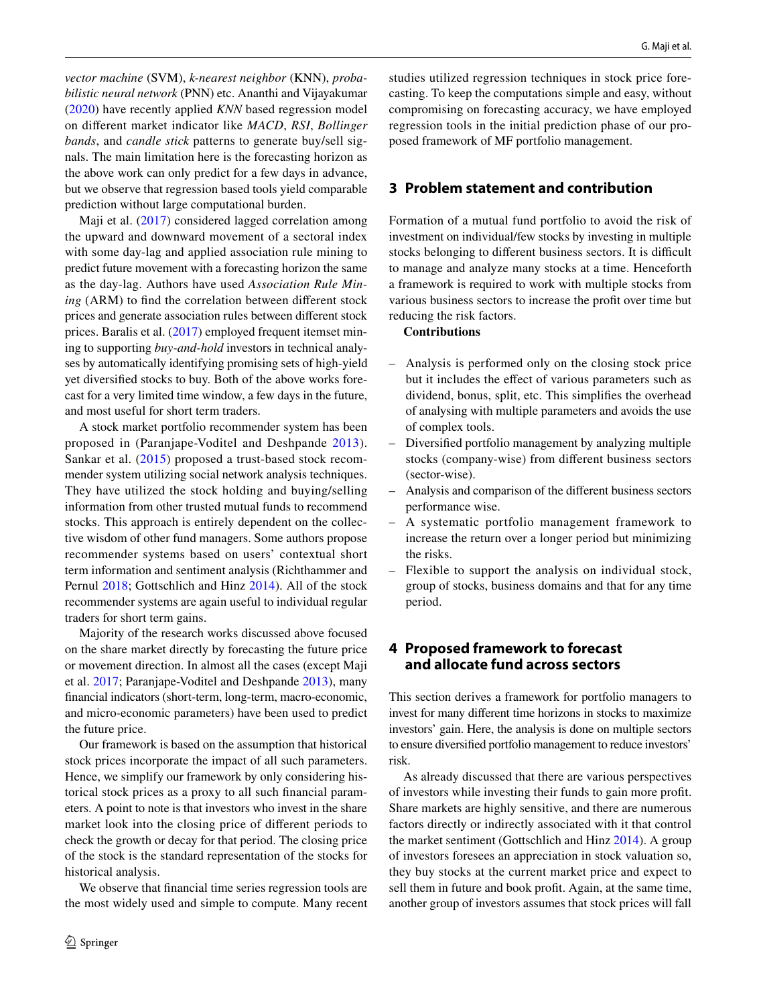*vector machine* (SVM), *k-nearest neighbor* (KNN), *probabilistic neural network* (PNN) etc. Ananthi and Vijayakumar [\(2020\)](#page-12-17) have recently applied *KNN* based regression model on different market indicator like *MACD*, *RSI*, *Bollinger bands*, and *candle stick* patterns to generate buy/sell signals. The main limitation here is the forecasting horizon as the above work can only predict for a few days in advance, but we observe that regression based tools yield comparable prediction without large computational burden.

Maji et al. ([2017](#page-12-18)) considered lagged correlation among the upward and downward movement of a sectoral index with some day-lag and applied association rule mining to predict future movement with a forecasting horizon the same as the day-lag. Authors have used *Association Rule Mining* (ARM) to find the correlation between different stock prices and generate association rules between different stock prices. Baralis et al. ([2017\)](#page-12-19) employed frequent itemset mining to supporting *buy-and-hold* investors in technical analyses by automatically identifying promising sets of high-yield yet diversified stocks to buy. Both of the above works forecast for a very limited time window, a few days in the future, and most useful for short term traders.

A stock market portfolio recommender system has been proposed in (Paranjape-Voditel and Deshpande [2013](#page-13-11)). Sankar et al. [\(2015\)](#page-13-12) proposed a trust-based stock recommender system utilizing social network analysis techniques. They have utilized the stock holding and buying/selling information from other trusted mutual funds to recommend stocks. This approach is entirely dependent on the collective wisdom of other fund managers. Some authors propose recommender systems based on users' contextual short term information and sentiment analysis (Richthammer and Pernul [2018;](#page-13-13) Gottschlich and Hinz [2014\)](#page-12-16). All of the stock recommender systems are again useful to individual regular traders for short term gains.

Majority of the research works discussed above focused on the share market directly by forecasting the future price or movement direction. In almost all the cases (except Maji et al. [2017;](#page-12-18) Paranjape-Voditel and Deshpande [2013](#page-13-11)), many financial indicators (short-term, long-term, macro-economic, and micro-economic parameters) have been used to predict the future price.

Our framework is based on the assumption that historical stock prices incorporate the impact of all such parameters. Hence, we simplify our framework by only considering historical stock prices as a proxy to all such financial parameters. A point to note is that investors who invest in the share market look into the closing price of different periods to check the growth or decay for that period. The closing price of the stock is the standard representation of the stocks for historical analysis.

We observe that financial time series regression tools are the most widely used and simple to compute. Many recent studies utilized regression techniques in stock price forecasting. To keep the computations simple and easy, without compromising on forecasting accuracy, we have employed regression tools in the initial prediction phase of our proposed framework of MF portfolio management.

#### **3 Problem statement and contribution**

Formation of a mutual fund portfolio to avoid the risk of investment on individual/few stocks by investing in multiple stocks belonging to different business sectors. It is difficult to manage and analyze many stocks at a time. Henceforth a framework is required to work with multiple stocks from various business sectors to increase the profit over time but reducing the risk factors.

#### **Contributions**

- Analysis is performed only on the closing stock price but it includes the effect of various parameters such as dividend, bonus, split, etc. This simplifies the overhead of analysing with multiple parameters and avoids the use of complex tools.
- Diversified portfolio management by analyzing multiple stocks (company-wise) from different business sectors (sector-wise).
- Analysis and comparison of the different business sectors performance wise.
- A systematic portfolio management framework to increase the return over a longer period but minimizing the risks.
- Flexible to support the analysis on individual stock, group of stocks, business domains and that for any time period.

## <span id="page-3-0"></span>**4 Proposed framework to forecast and allocate fund across sectors**

This section derives a framework for portfolio managers to invest for many different time horizons in stocks to maximize investors' gain. Here, the analysis is done on multiple sectors to ensure diversified portfolio management to reduce investors' risk.

As already discussed that there are various perspectives of investors while investing their funds to gain more profit. Share markets are highly sensitive, and there are numerous factors directly or indirectly associated with it that control the market sentiment (Gottschlich and Hinz [2014](#page-12-16)). A group of investors foresees an appreciation in stock valuation so, they buy stocks at the current market price and expect to sell them in future and book profit. Again, at the same time, another group of investors assumes that stock prices will fall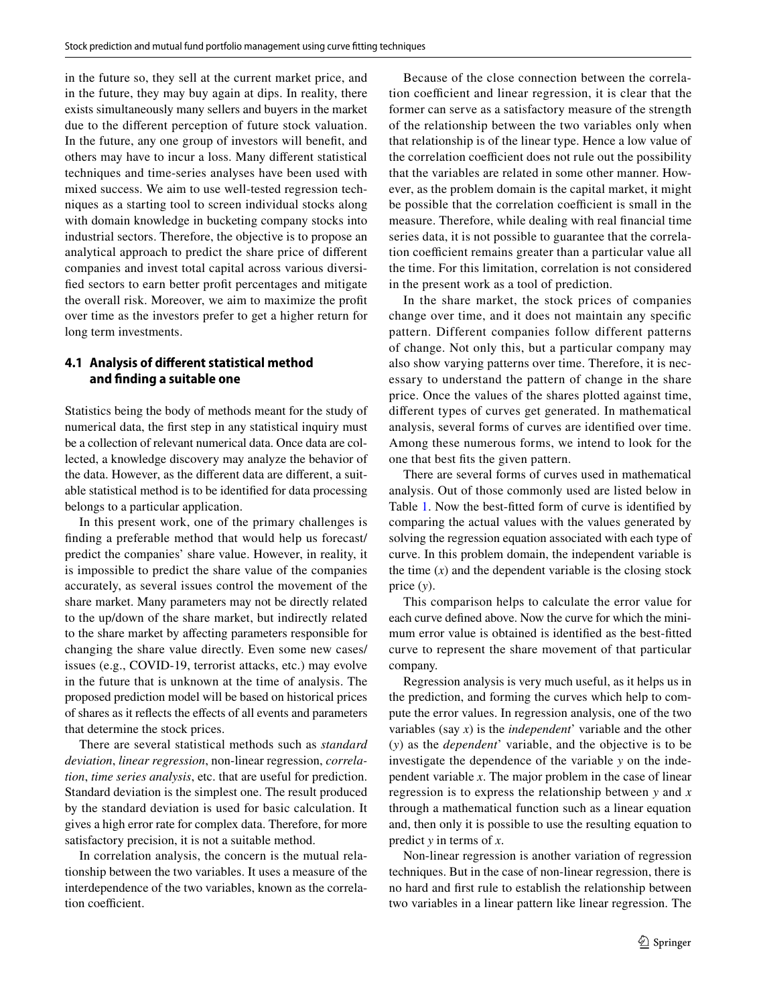in the future so, they sell at the current market price, and in the future, they may buy again at dips. In reality, there exists simultaneously many sellers and buyers in the market due to the different perception of future stock valuation. In the future, any one group of investors will benefit, and others may have to incur a loss. Many different statistical techniques and time-series analyses have been used with mixed success. We aim to use well-tested regression techniques as a starting tool to screen individual stocks along with domain knowledge in bucketing company stocks into industrial sectors. Therefore, the objective is to propose an analytical approach to predict the share price of different companies and invest total capital across various diversified sectors to earn better profit percentages and mitigate the overall risk. Moreover, we aim to maximize the profit over time as the investors prefer to get a higher return for long term investments.

#### **4.1 Analysis of different statistical method and finding a suitable one**

Statistics being the body of methods meant for the study of numerical data, the first step in any statistical inquiry must be a collection of relevant numerical data. Once data are collected, a knowledge discovery may analyze the behavior of the data. However, as the different data are different, a suitable statistical method is to be identified for data processing belongs to a particular application.

In this present work, one of the primary challenges is finding a preferable method that would help us forecast/ predict the companies' share value. However, in reality, it is impossible to predict the share value of the companies accurately, as several issues control the movement of the share market. Many parameters may not be directly related to the up/down of the share market, but indirectly related to the share market by affecting parameters responsible for changing the share value directly. Even some new cases/ issues (e.g., COVID-19, terrorist attacks, etc.) may evolve in the future that is unknown at the time of analysis. The proposed prediction model will be based on historical prices of shares as it reflects the effects of all events and parameters that determine the stock prices.

There are several statistical methods such as *standard deviation*, *linear regression*, non-linear regression, *correlation*, *time series analysis*, etc. that are useful for prediction. Standard deviation is the simplest one. The result produced by the standard deviation is used for basic calculation. It gives a high error rate for complex data. Therefore, for more satisfactory precision, it is not a suitable method.

In correlation analysis, the concern is the mutual relationship between the two variables. It uses a measure of the interdependence of the two variables, known as the correlation coefficient.

Because of the close connection between the correlation coefficient and linear regression, it is clear that the former can serve as a satisfactory measure of the strength of the relationship between the two variables only when that relationship is of the linear type. Hence a low value of the correlation coefficient does not rule out the possibility that the variables are related in some other manner. However, as the problem domain is the capital market, it might be possible that the correlation coefficient is small in the measure. Therefore, while dealing with real financial time series data, it is not possible to guarantee that the correlation coefficient remains greater than a particular value all the time. For this limitation, correlation is not considered in the present work as a tool of prediction.

In the share market, the stock prices of companies change over time, and it does not maintain any specific pattern. Different companies follow different patterns of change. Not only this, but a particular company may also show varying patterns over time. Therefore, it is necessary to understand the pattern of change in the share price. Once the values of the shares plotted against time, different types of curves get generated. In mathematical analysis, several forms of curves are identified over time. Among these numerous forms, we intend to look for the one that best fits the given pattern.

There are several forms of curves used in mathematical analysis. Out of those commonly used are listed below in Table [1.](#page-5-0) Now the best-fitted form of curve is identified by comparing the actual values with the values generated by solving the regression equation associated with each type of curve. In this problem domain, the independent variable is the time  $(x)$  and the dependent variable is the closing stock price (*y*).

This comparison helps to calculate the error value for each curve defined above. Now the curve for which the minimum error value is obtained is identified as the best-fitted curve to represent the share movement of that particular company.

Regression analysis is very much useful, as it helps us in the prediction, and forming the curves which help to compute the error values. In regression analysis, one of the two variables (say *x*) is the *independent*' variable and the other (*y*) as the *dependent*' variable, and the objective is to be investigate the dependence of the variable *y* on the independent variable *x*. The major problem in the case of linear regression is to express the relationship between *y* and *x* through a mathematical function such as a linear equation and, then only it is possible to use the resulting equation to predict *y* in terms of *x*.

Non-linear regression is another variation of regression techniques. But in the case of non-linear regression, there is no hard and first rule to establish the relationship between two variables in a linear pattern like linear regression. The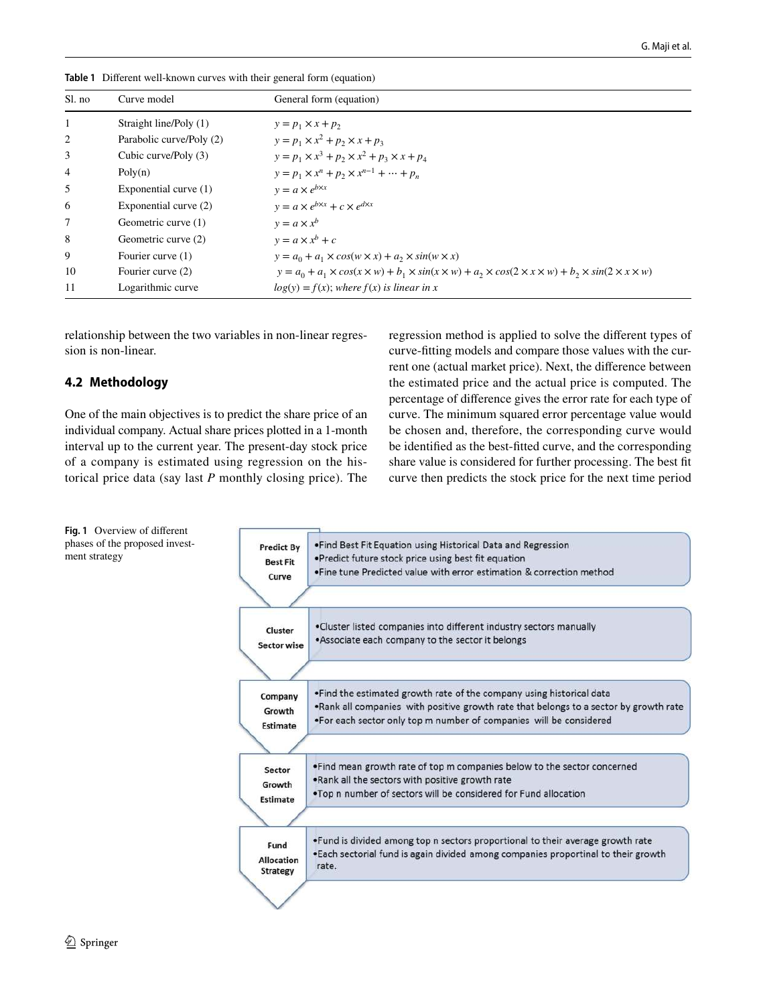| Sl. no         | Curve model              | General form (equation)                                                                                                                         |
|----------------|--------------------------|-------------------------------------------------------------------------------------------------------------------------------------------------|
| 1              | Straight line/Poly (1)   | $y = p_1 \times x + p_2$                                                                                                                        |
| 2              | Parabolic curve/Poly (2) | $y = p_1 \times x^2 + p_2 \times x + p_3$                                                                                                       |
| 3              | Cubic curve/Poly (3)     | $y = p_1 \times x^3 + p_2 \times x^2 + p_3 \times x + p_4$                                                                                      |
| $\overline{4}$ | Poly(n)                  | $y = p_1 \times x^n + p_2 \times x^{n-1} + \dots + p_n$                                                                                         |
| 5              | Exponential curve $(1)$  | $y = a \times e^{b \times x}$                                                                                                                   |
| 6              | Exponential curve (2)    | $y = a \times e^{b \times x} + c \times e^{d \times x}$                                                                                         |
| 7              | Geometric curve (1)      | $y = a \times x^b$                                                                                                                              |
| 8              | Geometric curve (2)      | $y = a \times x^{b} + c$                                                                                                                        |
| 9              | Fourier curve (1)        | $y = a_0 + a_1 \times cos(w \times x) + a_2 \times sin(w \times x)$                                                                             |
| 10             | Fourier curve (2)        | $y = a_0 + a_1 \times cos(x \times w) + b_1 \times sin(x \times w) + a_2 \times cos(2 \times x \times w) + b_2 \times sin(2 \times x \times w)$ |
| 11             | Logarithmic curve        | $log(y) = f(x)$ ; where $f(x)$ is linear in x                                                                                                   |

<span id="page-5-0"></span>**Table 1** Different well-known curves with their general form (equation)

relationship between the two variables in non-linear regression is non-linear.

# **4.2 Methodology**

One of the main objectives is to predict the share price of an individual company. Actual share prices plotted in a 1-month interval up to the current year. The present-day stock price of a company is estimated using regression on the historical price data (say last *P* monthly closing price). The regression method is applied to solve the different types of curve-fitting models and compare those values with the current one (actual market price). Next, the difference between the estimated price and the actual price is computed. The percentage of difference gives the error rate for each type of curve. The minimum squared error percentage value would be chosen and, therefore, the corresponding curve would be identified as the best-fitted curve, and the corresponding share value is considered for further processing. The best fit curve then predicts the stock price for the next time period



<span id="page-5-1"></span>**Fig. 1** Overview of different phases of the proposed investment strategy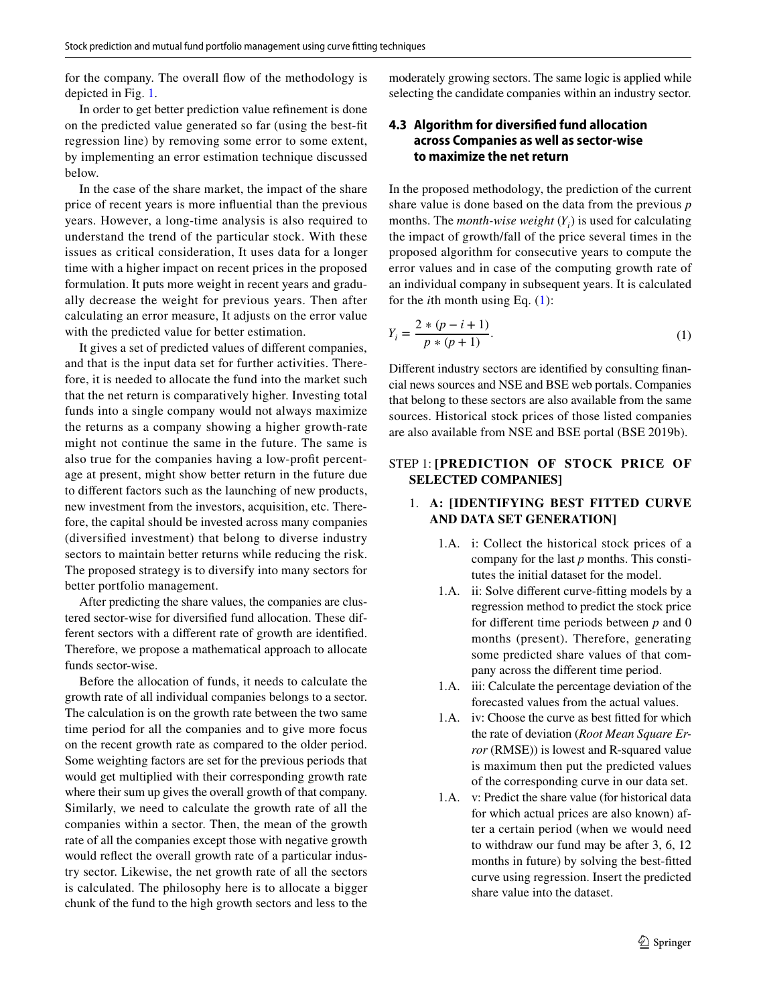for the company. The overall flow of the methodology is depicted in Fig. [1](#page-5-1).

In order to get better prediction value refinement is done on the predicted value generated so far (using the best-fit regression line) by removing some error to some extent, by implementing an error estimation technique discussed below.

In the case of the share market, the impact of the share price of recent years is more influential than the previous years. However, a long-time analysis is also required to understand the trend of the particular stock. With these issues as critical consideration, It uses data for a longer time with a higher impact on recent prices in the proposed formulation. It puts more weight in recent years and gradually decrease the weight for previous years. Then after calculating an error measure, It adjusts on the error value with the predicted value for better estimation.

It gives a set of predicted values of different companies, and that is the input data set for further activities. Therefore, it is needed to allocate the fund into the market such that the net return is comparatively higher. Investing total funds into a single company would not always maximize the returns as a company showing a higher growth-rate might not continue the same in the future. The same is also true for the companies having a low-profit percentage at present, might show better return in the future due to different factors such as the launching of new products, new investment from the investors, acquisition, etc. Therefore, the capital should be invested across many companies (diversified investment) that belong to diverse industry sectors to maintain better returns while reducing the risk. The proposed strategy is to diversify into many sectors for better portfolio management.

After predicting the share values, the companies are clustered sector-wise for diversified fund allocation. These different sectors with a different rate of growth are identified. Therefore, we propose a mathematical approach to allocate funds sector-wise.

Before the allocation of funds, it needs to calculate the growth rate of all individual companies belongs to a sector. The calculation is on the growth rate between the two same time period for all the companies and to give more focus on the recent growth rate as compared to the older period. Some weighting factors are set for the previous periods that would get multiplied with their corresponding growth rate where their sum up gives the overall growth of that company. Similarly, we need to calculate the growth rate of all the companies within a sector. Then, the mean of the growth rate of all the companies except those with negative growth would reflect the overall growth rate of a particular industry sector. Likewise, the net growth rate of all the sectors is calculated. The philosophy here is to allocate a bigger chunk of the fund to the high growth sectors and less to the moderately growing sectors. The same logic is applied while selecting the candidate companies within an industry sector.

### **4.3 Algorithm for diversified fund allocation across Companies as well as sector‑wise to maximize the net return**

In the proposed methodology, the prediction of the current share value is done based on the data from the previous *p* months. The *month-wise weight*  $(Y_i)$  is used for calculating the impact of growth/fall of the price several times in the proposed algorithm for consecutive years to compute the error values and in case of the computing growth rate of an individual company in subsequent years. It is calculated for the *i*th month using Eq. [\(1\)](#page-6-0):

<span id="page-6-0"></span>
$$
Y_i = \frac{2*(p-i+1)}{p*(p+1)}.
$$
\n(1)

Different industry sectors are identified by consulting financial news sources and NSE and BSE web portals. Companies that belong to these sectors are also available from the same sources. Historical stock prices of those listed companies are also available from NSE and BSE portal (BSE 2019b).

#### STEP 1: **[PREDICTION OF STOCK PRICE OF SELECTED COMPANIES]**

#### 1. **A: [IDENTIFYING BEST FITTED CURVE AND DATA SET GENERATION]**

- 1.A. i: Collect the historical stock prices of a company for the last *p* months. This constitutes the initial dataset for the model.
- 1.A. ii: Solve different curve-fitting models by a regression method to predict the stock price for different time periods between *p* and 0 months (present). Therefore, generating some predicted share values of that company across the different time period.
- 1.A. iii: Calculate the percentage deviation of the forecasted values from the actual values.
- 1.A. iv: Choose the curve as best fitted for which the rate of deviation (*Root Mean Square Error* (RMSE)) is lowest and R-squared value is maximum then put the predicted values of the corresponding curve in our data set.
- 1.A. v: Predict the share value (for historical data for which actual prices are also known) after a certain period (when we would need to withdraw our fund may be after 3, 6, 12 months in future) by solving the best-fitted curve using regression. Insert the predicted share value into the dataset.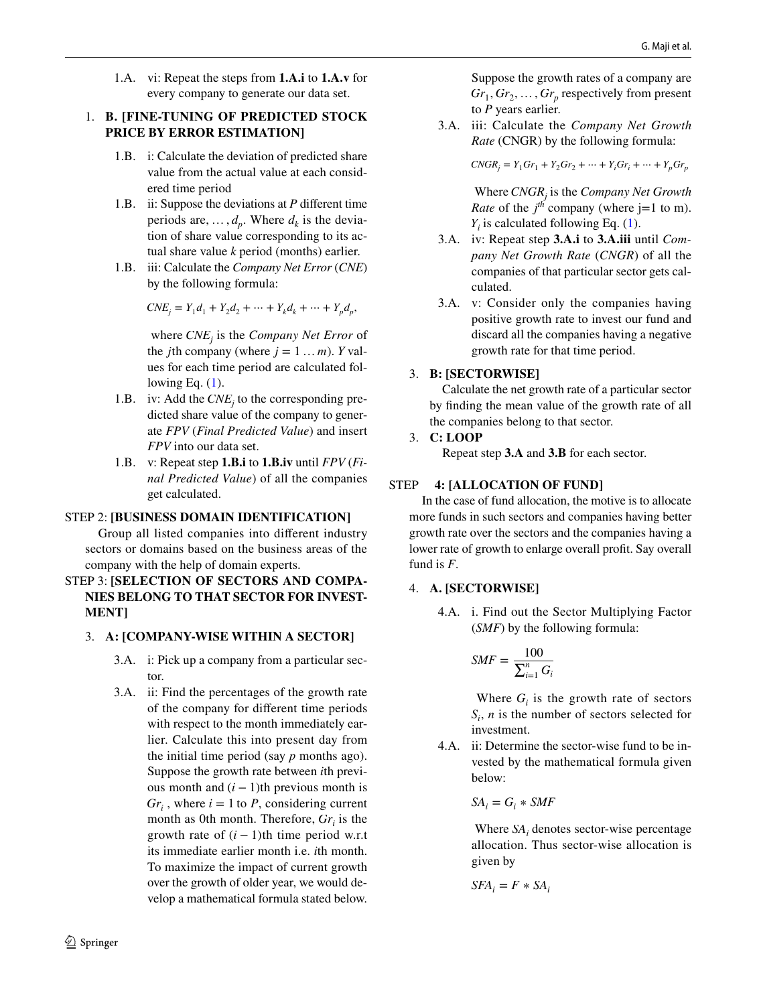1.A. vi: Repeat the steps from **1.A.i** to **1.A.v** for every company to generate our data set.

#### 1. **B. [FINE-TUNING OF PREDICTED STOCK PRICE BY ERROR ESTIMATION]**

- 1.B. i: Calculate the deviation of predicted share value from the actual value at each considered time period
- 1.B. ii: Suppose the deviations at *P* different time periods are,  $\dots$ ,  $d_p$ . Where  $d_k$  is the deviation of share value corresponding to its actual share value *k* period (months) earlier.
- 1.B. iii: Calculate the *Company Net Error* (*CNE*) by the following formula:

$$
CNE_j = Y_1 d_1 + Y_2 d_2 + \dots + Y_k d_k + \dots + Y_p d_p,
$$

 where *CNE<sup>j</sup>* is the *Company Net Error* of the *j*th company (where  $j = 1 ... m$ ). *Y* values for each time period are calculated following Eq.  $(1)$  $(1)$ .

- 1.B. iv: Add the  $CNE<sub>j</sub>$  to the corresponding predicted share value of the company to generate *FPV* (*Final Predicted Value*) and insert *FPV* into our data set.
	- 1.B. v: Repeat step **1.B.i** to **1.B.iv** until *FPV* (*Final Predicted Value*) of all the companies get calculated.

## STEP 2: **[BUSINESS DOMAIN IDENTIFICATION]**

 Group all listed companies into different industry sectors or domains based on the business areas of the company with the help of domain experts.

## STEP 3: **[SELECTION OF SECTORS AND COMPA-NIES BELONG TO THAT SECTOR FOR INVEST-MENT]**

## 3. **A: [COMPANY-WISE WITHIN A SECTOR]**

- 3.A. i: Pick up a company from a particular sector.
- 3.A. ii: Find the percentages of the growth rate of the company for different time periods with respect to the month immediately earlier. Calculate this into present day from the initial time period (say *p* months ago). Suppose the growth rate between *i*th previous month and  $(i - 1)$ th previous month is  $Gr_i$ , where  $i = 1$  to *P*, considering current month as 0th month. Therefore,  $Gr_i$  is the growth rate of  $(i - 1)$ th time period w.r.t its immediate earlier month i.e. *i*th month. To maximize the impact of current growth over the growth of older year, we would develop a mathematical formula stated below.

 $\circled{2}$  Springer

Suppose the growth rates of a company are  $Gr_1, Gr_2, \ldots, Gr_p$  respectively from present to *P* years earlier.

 3.A. iii: Calculate the *Company Net Growth Rate* (CNGR) by the following formula:

 $CNGR_i = Y_1Gr_1 + Y_2Gr_2 + \cdots + Y_iGr_i + \cdots + Y_pGr_p$ 

 Where *CNGR<sup>j</sup>* is the *Company Net Growth Rate* of the  $j<sup>th</sup>$  company (where j=1 to m).  $Y_i$  is calculated following Eq. ([1\)](#page-6-0).

- 3.A. iv: Repeat step **3.A.i** to **3.A.iii** until *Company Net Growth Rate* (*CNGR*) of all the companies of that particular sector gets calculated.
- 3.A. v: Consider only the companies having positive growth rate to invest our fund and discard all the companies having a negative growth rate for that time period.

## 3. **B: [SECTORWISE]**

 Calculate the net growth rate of a particular sector by finding the mean value of the growth rate of all the companies belong to that sector.

## 3. **C: LOOP**

Repeat step **3.A** and **3.B** for each sector.

#### STEP **4: [ALLOCATION OF FUND]**

 In the case of fund allocation, the motive is to allocate more funds in such sectors and companies having better growth rate over the sectors and the companies having a lower rate of growth to enlarge overall profit. Say overall fund is *F*.

## 4. **A. [SECTORWISE]**

 4.A. i. Find out the Sector Multiplying Factor (*SMF*) by the following formula:

$$
SMF = \frac{100}{\sum_{i=1}^{n} G_i}
$$

Where  $G_i$  is the growth rate of sectors  $S_i$ , *n* is the number of sectors selected for investment.

 4.A. ii: Determine the sector-wise fund to be invested by the mathematical formula given below:

$$
SA_i = G_i * SMF
$$

Where  $SA<sub>i</sub>$  denotes sector-wise percentage allocation. Thus sector-wise allocation is given by

$$
SFA_i = F * SA_i
$$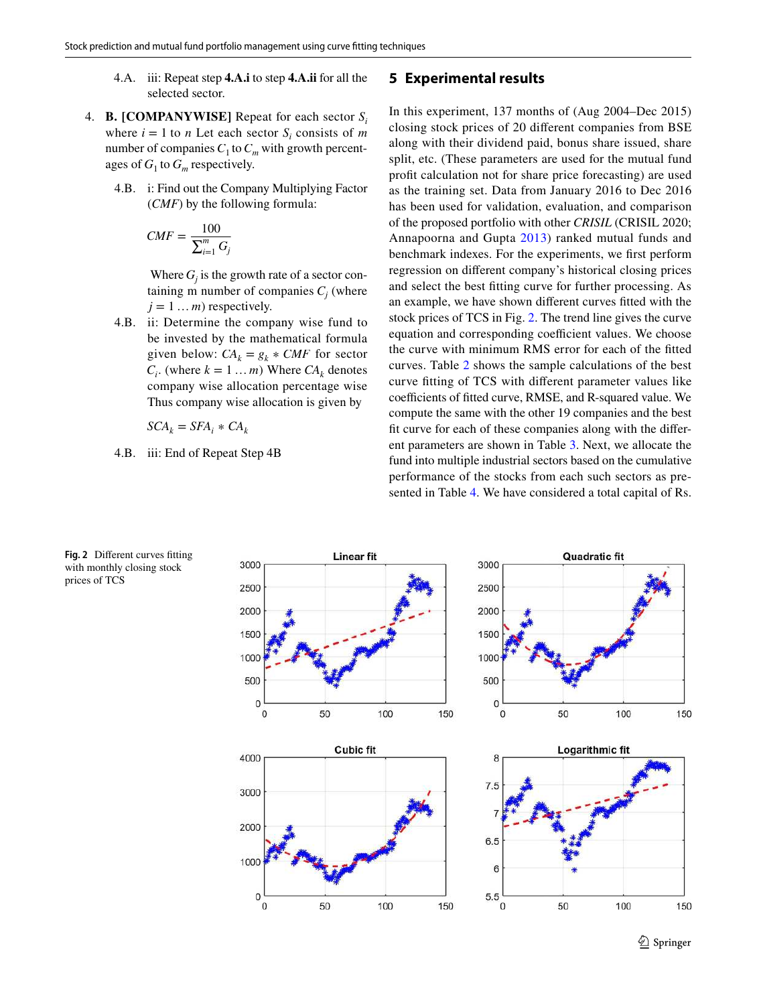- 4.A. iii: Repeat step **4.A.i** to step **4.A.ii** for all the selected sector.
- 4. **B. [COMPANYWISE]** Repeat for each sector *S<sup>i</sup>* where  $i = 1$  to *n* Let each sector  $S_i$  consists of *m* number of companies  $C_1$  to  $C_m$  with growth percentages of  $G_1$  to  $G_m$  respectively.
	- 4.B. i: Find out the Company Multiplying Factor (*CMF*) by the following formula:

$$
CMF = \frac{100}{\sum_{i=1}^{m} G_j}
$$

Where  $G_j$  is the growth rate of a sector containing m number of companies  $C_j$  (where  $j = 1 ... m$  respectively.

 4.B. ii: Determine the company wise fund to be invested by the mathematical formula given below:  $CA_k = g_k * CMF$  for sector  $C_i$ . (where  $k = 1 ... m$ ) Where  $CA_k$  denotes company wise allocation percentage wise Thus company wise allocation is given by

$$
SCA_k = SFA_i * CA_k
$$

4.B. iii: End of Repeat Step 4B

#### <span id="page-8-0"></span>**5 Experimental results**

In this experiment, 137 months of (Aug 2004–Dec 2015) closing stock prices of 20 different companies from BSE along with their dividend paid, bonus share issued, share split, etc. (These parameters are used for the mutual fund profit calculation not for share price forecasting) are used as the training set. Data from January 2016 to Dec 2016 has been used for validation, evaluation, and comparison of the proposed portfolio with other *CRISIL* (CRISIL 2020; Annapoorna and Gupta [2013\)](#page-12-20) ranked mutual funds and benchmark indexes. For the experiments, we first perform regression on different company's historical closing prices and select the best fitting curve for further processing. As an example, we have shown different curves fitted with the stock prices of TCS in Fig. [2.](#page-8-1) The trend line gives the curve equation and corresponding coefficient values. We choose the curve with minimum RMS error for each of the fitted curves. Table [2](#page-9-0) shows the sample calculations of the best curve fitting of TCS with different parameter values like coefficients of fitted curve, RMSE, and R-squared value. We compute the same with the other 19 companies and the best fit curve for each of these companies along with the different parameters are shown in Table [3](#page-9-1). Next, we allocate the fund into multiple industrial sectors based on the cumulative performance of the stocks from each such sectors as presented in Table [4.](#page-10-0) We have considered a total capital of Rs.



<span id="page-8-1"></span>**Fig. 2** Different curves fitting with monthly closing stock prices of TCS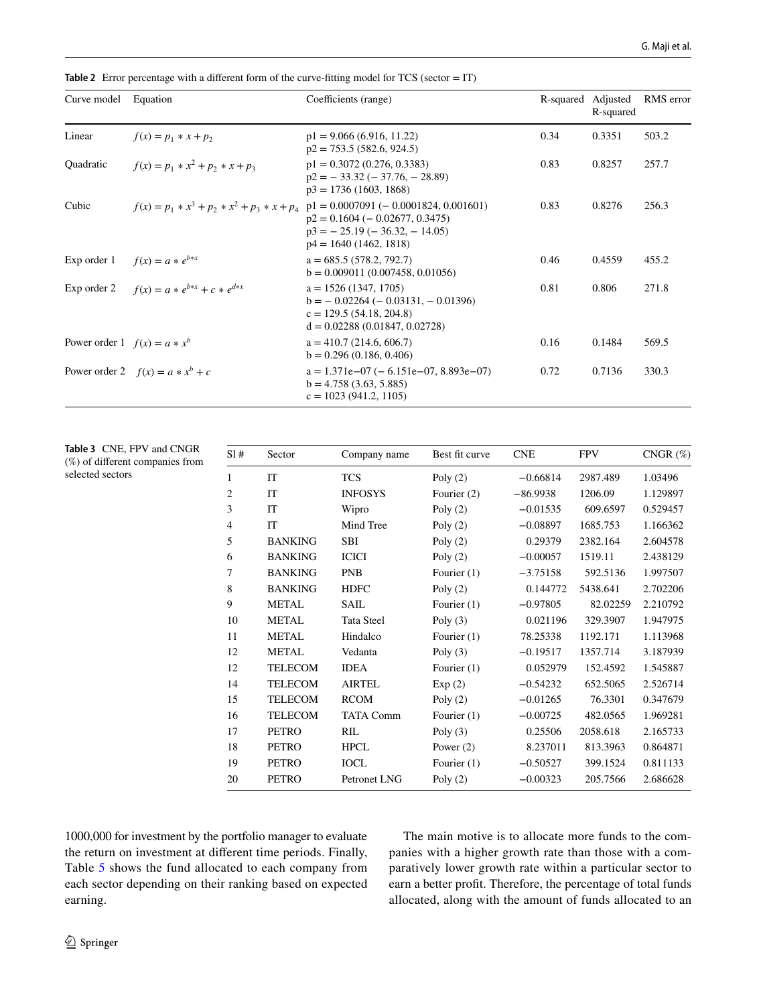| Curve model                    | Equation                                       | Coefficients (range)                                                                                                                     | R-squared Adjusted | R-squared | RMS error |
|--------------------------------|------------------------------------------------|------------------------------------------------------------------------------------------------------------------------------------------|--------------------|-----------|-----------|
| Linear                         | $f(x) = p_1 * x + p_2$                         | $p1 = 9.066(6.916, 11.22)$<br>$p2 = 753.5 (582.6, 924.5)$                                                                                | 0.34               | 0.3351    | 503.2     |
| Quadratic                      | $f(x) = p_1 * x^2 + p_2 * x + p_3$             | $p1 = 0.3072(0.276, 0.3383)$<br>$p2 = -33.32 (-37.76, -28.89)$<br>$p3 = 1736(1603, 1868)$                                                | 0.83               | 0.8257    | 257.7     |
| Cubic                          | $f(x) = p_1 * x^3 + p_2 * x^2 + p_3 * x + p_4$ | $p1 = 0.0007091 (-0.0001824, 0.001601)$<br>$p2 = 0.1604 (-0.02677, 0.3475)$<br>$p3 = -25.19$ (-36.32, -14.05)<br>$p4 = 1640(1462, 1818)$ | 0.83               | 0.8276    | 256.3     |
| Exp order 1                    | $f(x) = a * e^{b * x}$                         | $a = 685.5(578.2, 792.7)$<br>$b = 0.009011(0.007458, 0.01056)$                                                                           | 0.46               | 0.4559    | 455.2     |
| Exp order 2                    | $f(x) = a * e^{b*x} + c * e^{d*x}$             | $a = 1526(1347, 1705)$<br>$b = -0.02264$ ( $-0.03131$ , $-0.01396$ )<br>$c = 129.5(54.18, 204.8)$<br>$d = 0.02288(0.01847, 0.02728)$     | 0.81               | 0.806     | 271.8     |
| Power order 1 $f(x) = a * x^b$ |                                                | $a = 410.7 (214.6, 606.7)$<br>$b = 0.296(0.186, 0.406)$                                                                                  | 0.16               | 0.1484    | 569.5     |
|                                | Power order 2 $f(x) = a * x^b + c$             | $a = 1.371e-07$ (-6.151e-07, 8.893e-07)<br>$b = 4.758(3.63, 5.885)$<br>$c = 1023(941.2, 1105)$                                           | 0.72               | 0.7136    | 330.3     |

<span id="page-9-0"></span>**Table 2** Error percentage with a different form of the curve-fitting model for TCS (sector = IT)

<span id="page-9-1"></span>

|                  | <b>Table 3</b> CNE, FPV and CNGR |
|------------------|----------------------------------|
|                  | (%) of different companies from  |
| selected sectors |                                  |

| S1#            | Sector         | Company name      | Best fit curve | <b>CNE</b> | <b>FPV</b> | $CNGR(\%)$ |
|----------------|----------------|-------------------|----------------|------------|------------|------------|
| 1              | <b>IT</b>      | <b>TCS</b>        | Poly $(2)$     | $-0.66814$ | 2987.489   | 1.03496    |
| $\overline{2}$ | IT             | <b>INFOSYS</b>    | Fourier (2)    | $-86.9938$ | 1206.09    | 1.129897   |
| 3              | <b>IT</b>      | Wipro             | Poly $(2)$     | $-0.01535$ | 609.6597   | 0.529457   |
| $\overline{4}$ | IT             | Mind Tree         | Poly $(2)$     | $-0.08897$ | 1685.753   | 1.166362   |
| 5              | <b>BANKING</b> | <b>SBI</b>        | Poly $(2)$     | 0.29379    | 2382.164   | 2.604578   |
| 6              | <b>BANKING</b> | <b>ICICI</b>      | Poly $(2)$     | $-0.00057$ | 1519.11    | 2.438129   |
| 7              | <b>BANKING</b> | <b>PNB</b>        | Fourier $(1)$  | $-3.75158$ | 592.5136   | 1.997507   |
| 8              | <b>BANKING</b> | <b>HDFC</b>       | Poly $(2)$     | 0.144772   | 5438.641   | 2.702206   |
| 9              | <b>METAL</b>   | <b>SAIL</b>       | Fourier $(1)$  | $-0.97805$ | 82.02259   | 2.210792   |
| 10             | <b>METAL</b>   | <b>Tata Steel</b> | Poly $(3)$     | 0.021196   | 329.3907   | 1.947975   |
| 11             | <b>METAL</b>   | Hindalco          | Fourier $(1)$  | 78.25338   | 1192.171   | 1.113968   |
| 12             | <b>METAL</b>   | Vedanta           | Poly $(3)$     | $-0.19517$ | 1357.714   | 3.187939   |
| 12             | <b>TELECOM</b> | <b>IDEA</b>       | Fourier $(1)$  | 0.052979   | 152.4592   | 1.545887   |
| 14             | <b>TELECOM</b> | <b>AIRTEL</b>     | Exp(2)         | $-0.54232$ | 652.5065   | 2.526714   |
| 15             | <b>TELECOM</b> | <b>RCOM</b>       | Poly $(2)$     | $-0.01265$ | 76.3301    | 0.347679   |
| 16             | <b>TELECOM</b> | <b>TATA Comm</b>  | Fourier $(1)$  | $-0.00725$ | 482.0565   | 1.969281   |
| 17             | <b>PETRO</b>   | RIL               | Poly $(3)$     | 0.25506    | 2058.618   | 2.165733   |
| 18             | <b>PETRO</b>   | <b>HPCL</b>       | Power $(2)$    | 8.237011   | 813.3963   | 0.864871   |
| 19             | <b>PETRO</b>   | <b>IOCL</b>       | Fourier $(1)$  | $-0.50527$ | 399.1524   | 0.811133   |
| 20             | <b>PETRO</b>   | Petronet LNG      | Poly $(2)$     | $-0.00323$ | 205.7566   | 2.686628   |

1000,000 for investment by the portfolio manager to evaluate the return on investment at different time periods. Finally, Table [5](#page-10-1) shows the fund allocated to each company from each sector depending on their ranking based on expected earning.

The main motive is to allocate more funds to the companies with a higher growth rate than those with a comparatively lower growth rate within a particular sector to earn a better profit. Therefore, the percentage of total funds allocated, along with the amount of funds allocated to an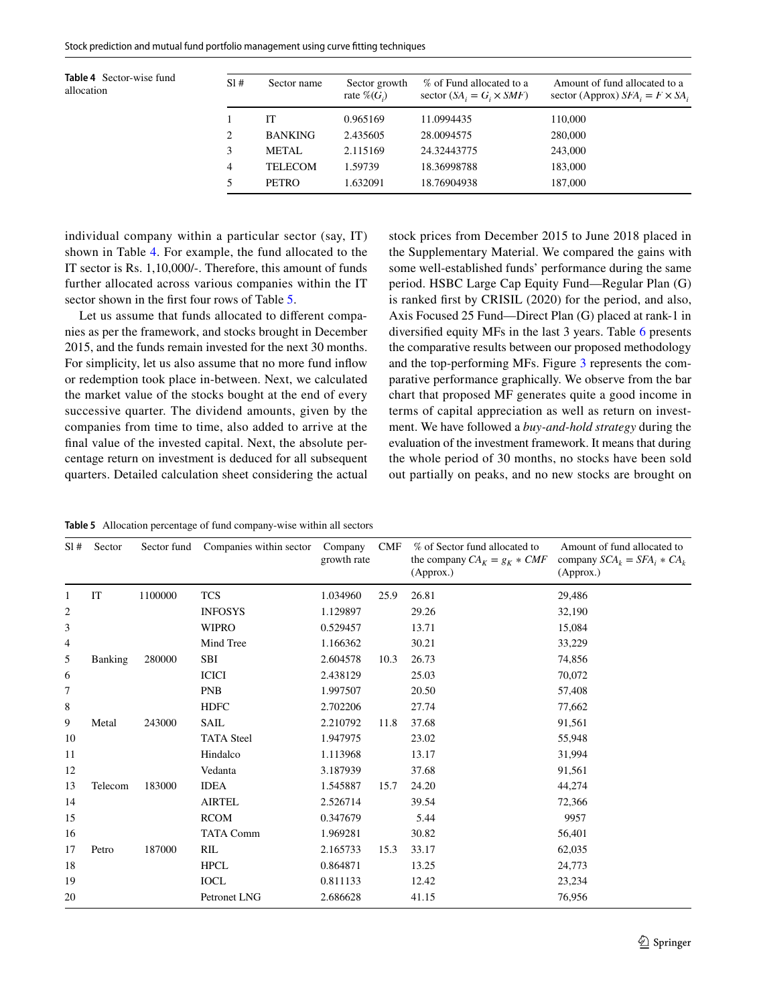<span id="page-10-0"></span>**Table 4** Sector-wise fund allocation

| S1#            | Sector name    | Sector growth<br>rate $\mathcal{C}(G_i)$ | % of Fund allocated to a<br>sector $(SA_i = G_i \times SMF)$ | Amount of fund allocated to a<br>sector (Approx) $SFA_i = F \times SA_i$ |
|----------------|----------------|------------------------------------------|--------------------------------------------------------------|--------------------------------------------------------------------------|
|                | IТ             | 0.965169                                 | 11.0994435                                                   | 110,000                                                                  |
| $\overline{c}$ | <b>BANKING</b> | 2.435605                                 | 28.0094575                                                   | 280,000                                                                  |
| 3              | <b>METAL</b>   | 2.115169                                 | 24.32443775                                                  | 243,000                                                                  |
| $\overline{4}$ | <b>TELECOM</b> | 1.59739                                  | 18.36998788                                                  | 183,000                                                                  |
| 5              | <b>PETRO</b>   | 1.632091                                 | 18.76904938                                                  | 187,000                                                                  |

individual company within a particular sector (say, IT) shown in Table [4](#page-10-0). For example, the fund allocated to the IT sector is Rs. 1,10,000/-. Therefore, this amount of funds further allocated across various companies within the IT sector shown in the first four rows of Table [5.](#page-10-1)

Let us assume that funds allocated to different companies as per the framework, and stocks brought in December 2015, and the funds remain invested for the next 30 months. For simplicity, let us also assume that no more fund inflow or redemption took place in-between. Next, we calculated the market value of the stocks bought at the end of every successive quarter. The dividend amounts, given by the companies from time to time, also added to arrive at the final value of the invested capital. Next, the absolute percentage return on investment is deduced for all subsequent quarters. Detailed calculation sheet considering the actual stock prices from December 2015 to June 2018 placed in the Supplementary Material. We compared the gains with some well-established funds' performance during the same period. HSBC Large Cap Equity Fund—Regular Plan (G) is ranked first by CRISIL (2020) for the period, and also, Axis Focused 25 Fund—Direct Plan (G) placed at rank-1 in diversified equity MFs in the last 3 years. Table [6](#page-11-1) presents the comparative results between our proposed methodology and the top-performing MFs. Figure [3](#page-11-2) represents the comparative performance graphically. We observe from the bar chart that proposed MF generates quite a good income in terms of capital appreciation as well as return on investment. We have followed a *buy-and-hold strategy* during the evaluation of the investment framework. It means that during the whole period of 30 months, no stocks have been sold out partially on peaks, and no new stocks are brought on

<span id="page-10-1"></span>**Table 5** Allocation percentage of fund company-wise within all sectors

| S1#          | Sector         | Sector fund | Companies within sector | Company<br>growth rate | CMF  | % of Sector fund allocated to<br>the company $CA_K = g_K * CMF$<br>(Approx.) | Amount of fund allocated to<br>company $SCA_k = SFA_i * CA_k$<br>(Approx.) |
|--------------|----------------|-------------|-------------------------|------------------------|------|------------------------------------------------------------------------------|----------------------------------------------------------------------------|
| 1            | IT             | 1100000     | <b>TCS</b>              | 1.034960               | 25.9 | 26.81                                                                        | 29,486                                                                     |
| $\mathbf{2}$ |                |             | <b>INFOSYS</b>          | 1.129897               |      | 29.26                                                                        | 32,190                                                                     |
| 3            |                |             | <b>WIPRO</b>            | 0.529457               |      | 13.71                                                                        | 15,084                                                                     |
| 4            |                |             | Mind Tree               | 1.166362               |      | 30.21                                                                        | 33,229                                                                     |
| 5            | <b>Banking</b> | 280000      | SBI                     | 2.604578               | 10.3 | 26.73                                                                        | 74,856                                                                     |
| 6            |                |             | <b>ICICI</b>            | 2.438129               |      | 25.03                                                                        | 70,072                                                                     |
| 7            |                |             | <b>PNB</b>              | 1.997507               |      | 20.50                                                                        | 57,408                                                                     |
| 8            |                |             | <b>HDFC</b>             | 2.702206               |      | 27.74                                                                        | 77,662                                                                     |
| 9            | Metal          | 243000      | <b>SAIL</b>             | 2.210792               | 11.8 | 37.68                                                                        | 91,561                                                                     |
| 10           |                |             | <b>TATA Steel</b>       | 1.947975               |      | 23.02                                                                        | 55,948                                                                     |
| 11           |                |             | Hindalco                | 1.113968               |      | 13.17                                                                        | 31,994                                                                     |
| 12           |                |             | Vedanta                 | 3.187939               |      | 37.68                                                                        | 91,561                                                                     |
| 13           | Telecom        | 183000      | <b>IDEA</b>             | 1.545887               | 15.7 | 24.20                                                                        | 44,274                                                                     |
| 14           |                |             | <b>AIRTEL</b>           | 2.526714               |      | 39.54                                                                        | 72,366                                                                     |
| 15           |                |             | <b>RCOM</b>             | 0.347679               |      | 5.44                                                                         | 9957                                                                       |
| 16           |                |             | <b>TATA Comm</b>        | 1.969281               |      | 30.82                                                                        | 56,401                                                                     |
| 17           | Petro          | 187000      | RIL                     | 2.165733               | 15.3 | 33.17                                                                        | 62,035                                                                     |
| 18           |                |             | <b>HPCL</b>             | 0.864871               |      | 13.25                                                                        | 24,773                                                                     |
| 19           |                |             | <b>IOCL</b>             | 0.811133               |      | 12.42                                                                        | 23,234                                                                     |
| 20           |                |             | Petronet LNG            | 2.686628               |      | 41.15                                                                        | 76,956                                                                     |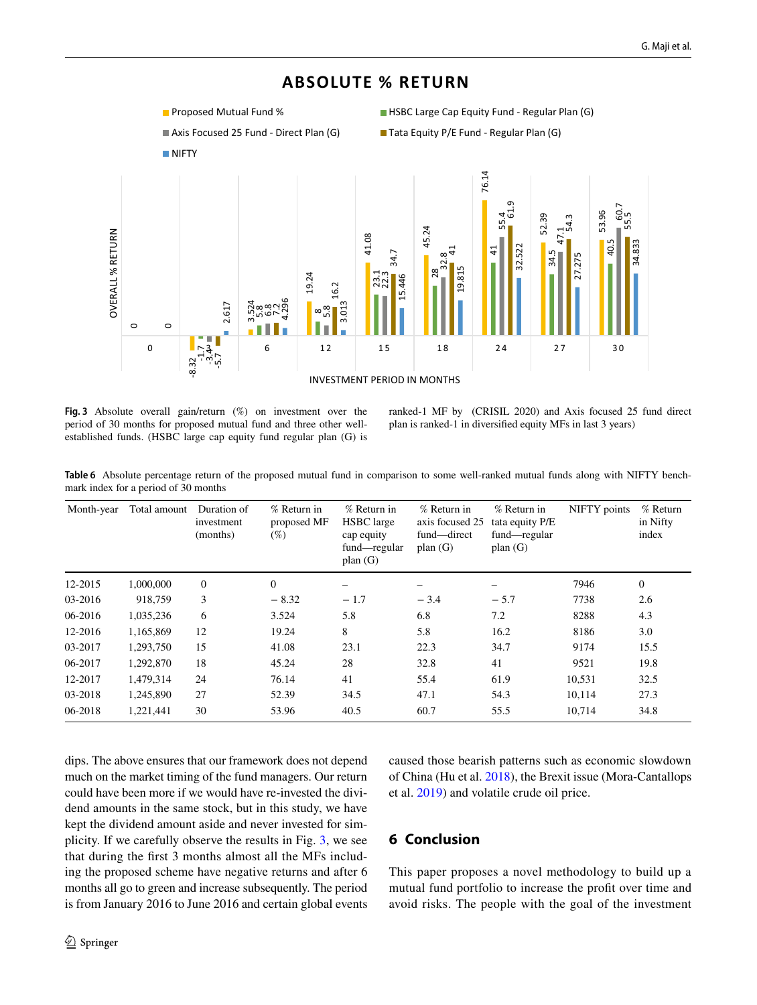# **ABSOLUTE % RETURN**



- 
- 



<span id="page-11-2"></span>**Fig. 3** Absolute overall gain/return (%) on investment over the period of 30 months for proposed mutual fund and three other wellestablished funds. (HSBC large cap equity fund regular plan (G) is

ranked-1 MF by (CRISIL 2020) and Axis focused 25 fund direct plan is ranked-1 in diversified equity MFs in last 3 years)

<span id="page-11-1"></span>**Table 6** Absolute percentage return of the proposed mutual fund in comparison to some well-ranked mutual funds along with NIFTY benchmark index for a period of 30 months

| Month-year | Total amount | Duration of<br>investment<br>(months) | $%$ Return in<br>proposed MF<br>$(\%)$ | $%$ Return in<br><b>HSBC</b> large<br>cap equity<br>fund—regular<br>plan $(G)$ | $%$ Return in<br>axis focused 25<br>fund-direct<br>plan $(G)$ | % Return in<br>tata equity P/E<br>fund—regular<br>plan $(G)$ | NIFTY points | $%$ Return<br>in Nifty<br>index |
|------------|--------------|---------------------------------------|----------------------------------------|--------------------------------------------------------------------------------|---------------------------------------------------------------|--------------------------------------------------------------|--------------|---------------------------------|
| 12-2015    | 1,000,000    | $\theta$                              | $\Omega$                               |                                                                                |                                                               |                                                              | 7946         | $\overline{0}$                  |
| 03-2016    | 918,759      | 3                                     | $-8.32$                                | $-1.7$                                                                         | $-3.4$                                                        | $-5.7$                                                       | 7738         | 2.6                             |
| 06-2016    | 1,035,236    | 6                                     | 3.524                                  | 5.8                                                                            | 6.8                                                           | 7.2                                                          | 8288         | 4.3                             |
| 12-2016    | 1,165,869    | 12                                    | 19.24                                  | 8                                                                              | 5.8                                                           | 16.2                                                         | 8186         | 3.0                             |
| 03-2017    | 1,293,750    | 15                                    | 41.08                                  | 23.1                                                                           | 22.3                                                          | 34.7                                                         | 9174         | 15.5                            |
| 06-2017    | 1,292,870    | 18                                    | 45.24                                  | 28                                                                             | 32.8                                                          | 41                                                           | 9521         | 19.8                            |
| 12-2017    | 1,479,314    | 24                                    | 76.14                                  | 41                                                                             | 55.4                                                          | 61.9                                                         | 10,531       | 32.5                            |
| 03-2018    | 1,245,890    | 27                                    | 52.39                                  | 34.5                                                                           | 47.1                                                          | 54.3                                                         | 10,114       | 27.3                            |
| 06-2018    | 1,221,441    | 30                                    | 53.96                                  | 40.5                                                                           | 60.7                                                          | 55.5                                                         | 10,714       | 34.8                            |

dips. The above ensures that our framework does not depend much on the market timing of the fund managers. Our return could have been more if we would have re-invested the dividend amounts in the same stock, but in this study, we have kept the dividend amount aside and never invested for simplicity. If we carefully observe the results in Fig. [3,](#page-11-2) we see that during the first 3 months almost all the MFs including the proposed scheme have negative returns and after 6 months all go to green and increase subsequently. The period is from January 2016 to June 2016 and certain global events caused those bearish patterns such as economic slowdown of China (Hu et al. [2018\)](#page-12-21), the Brexit issue (Mora-Cantallops et al. [2019](#page-12-22)) and volatile crude oil price.

## <span id="page-11-0"></span>**6 Conclusion**

This paper proposes a novel methodology to build up a mutual fund portfolio to increase the profit over time and avoid risks. The people with the goal of the investment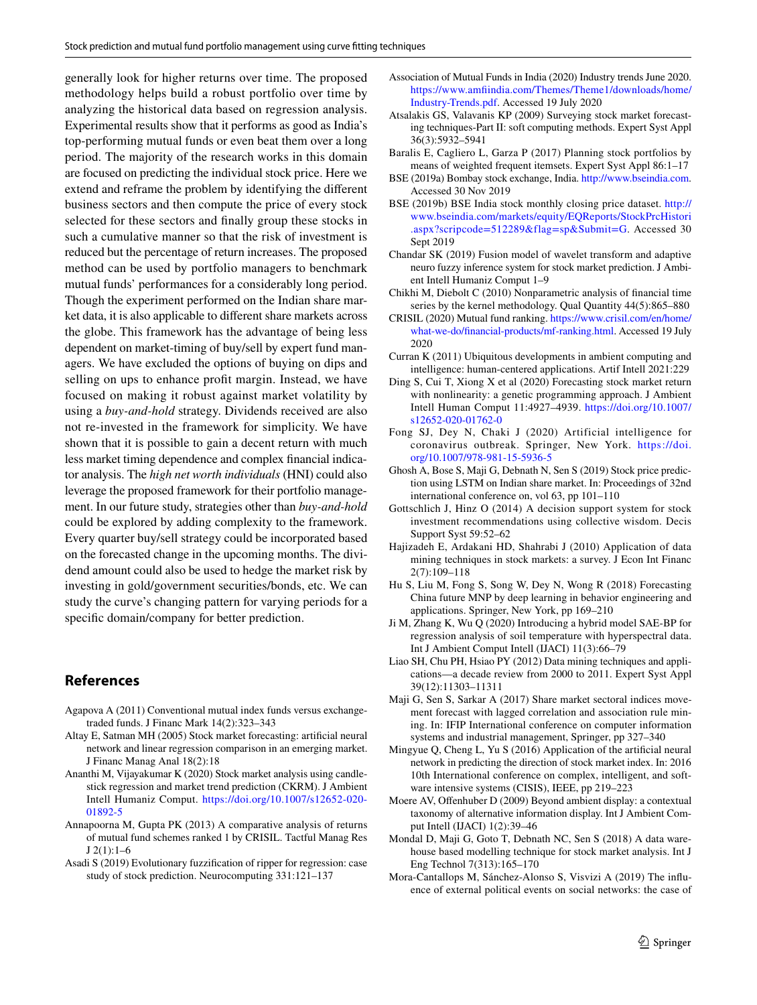generally look for higher returns over time. The proposed methodology helps build a robust portfolio over time by analyzing the historical data based on regression analysis. Experimental results show that it performs as good as India's top-performing mutual funds or even beat them over a long period. The majority of the research works in this domain are focused on predicting the individual stock price. Here we extend and reframe the problem by identifying the different business sectors and then compute the price of every stock selected for these sectors and finally group these stocks in such a cumulative manner so that the risk of investment is reduced but the percentage of return increases. The proposed method can be used by portfolio managers to benchmark mutual funds' performances for a considerably long period. Though the experiment performed on the Indian share market data, it is also applicable to different share markets across the globe. This framework has the advantage of being less dependent on market-timing of buy/sell by expert fund managers. We have excluded the options of buying on dips and selling on ups to enhance profit margin. Instead, we have focused on making it robust against market volatility by using a *buy-and-hold* strategy. Dividends received are also not re-invested in the framework for simplicity. We have shown that it is possible to gain a decent return with much less market timing dependence and complex financial indicator analysis. The *high net worth individuals* (HNI) could also leverage the proposed framework for their portfolio management. In our future study, strategies other than *buy-and-hold* could be explored by adding complexity to the framework. Every quarter buy/sell strategy could be incorporated based on the forecasted change in the upcoming months. The dividend amount could also be used to hedge the market risk by investing in gold/government securities/bonds, etc. We can study the curve's changing pattern for varying periods for a specific domain/company for better prediction.

#### **References**

- <span id="page-12-0"></span>Agapova A (2011) Conventional mutual index funds versus exchangetraded funds. J Financ Mark 14(2):323–343
- <span id="page-12-12"></span>Altay E, Satman MH (2005) Stock market forecasting: artificial neural network and linear regression comparison in an emerging market. J Financ Manag Anal 18(2):18
- <span id="page-12-17"></span>Ananthi M, Vijayakumar K (2020) Stock market analysis using candlestick regression and market trend prediction (CKRM). J Ambient Intell Humaniz Comput. https://doi.org/10.1007/s12652-020-01892-5
- <span id="page-12-20"></span>Annapoorna M, Gupta PK (2013) A comparative analysis of returns of mutual fund schemes ranked 1 by CRISIL. Tactful Manag Res J 2(1):1–6
- <span id="page-12-7"></span>Asadi S (2019) Evolutionary fuzzification of ripper for regression: case study of stock prediction. Neurocomputing 331:121–137
- Association of Mutual Funds in India (2020) Industry trends June 2020. https://www.amfiindia.com/Themes/Theme1/downloads/home/ Industry-Trends.pdf. Accessed 19 July 2020
- <span id="page-12-6"></span>Atsalakis GS, Valavanis KP (2009) Surveying stock market forecasting techniques-Part II: soft computing methods. Expert Syst Appl 36(3):5932–5941
- <span id="page-12-19"></span>Baralis E, Cagliero L, Garza P (2017) Planning stock portfolios by means of weighted frequent itemsets. Expert Syst Appl 86:1–17
- BSE (2019a) Bombay stock exchange, India. http://www.bseindia.com. Accessed 30 Nov 2019
- BSE (2019b) BSE India stock monthly closing price dataset. [http://](http://www.bseindia.com/markets/equity/EQReports/StockPrcHistori.aspx?scripcode=512289&flag=sp&Submit=G) www.bseindia.com/markets/equity/EQReports/StockPrcHistori .aspx?scripcode=512289&flag=sp&Submit=G. Accessed 30 Sept 2019
- <span id="page-12-8"></span>Chandar SK (2019) Fusion model of wavelet transform and adaptive neuro fuzzy inference system for stock market prediction. J Ambient Intell Humaniz Comput 1–9
- <span id="page-12-4"></span>Chikhi M, Diebolt C (2010) Nonparametric analysis of financial time series by the kernel methodology. Qual Quantity 44(5):865–880
- CRISIL (2020) Mutual fund ranking. https://www.crisil.com/en/home/ what-we-do/financial-products/mf-ranking.html. Accessed 19 July 2020
- <span id="page-12-15"></span>Curran K (2011) Ubiquitous developments in ambient computing and intelligence: human-centered applications. Artif Intell 2021:229
- <span id="page-12-11"></span>Ding S, Cui T, Xiong X et al (2020) Forecasting stock market return with nonlinearity: a genetic programming approach. J Ambient Intell Human Comput 11:4927–4939. [https ://doi.org/10.1007/](https://doi.org/10.1007/s12652-020-01762-0) s12652-020-01762-0
- <span id="page-12-3"></span>Fong SJ, Dey N, Chaki J (2020) Artificial intelligence for coronavirus outbreak. Springer, New York. [https ://doi.](https://doi.org/10.1007/978-981-15-5936-5) [org/10.1007/978-981-15-5936-5](https://doi.org/10.1007/978-981-15-5936-5)
- <span id="page-12-10"></span>Ghosh A, Bose S, Maji G, Debnath N, Sen S (2019) Stock price prediction using LSTM on Indian share market. In: Proceedings of 32nd international conference on, vol 63, pp 101–110
- <span id="page-12-16"></span>Gottschlich J, Hinz O (2014) A decision support system for stock investment recommendations using collective wisdom. Decis Support Syst 59:52–62
- <span id="page-12-2"></span>Hajizadeh E, Ardakani HD, Shahrabi J (2010) Application of data mining techniques in stock markets: a survey. J Econ Int Financ 2(7):109–118
- <span id="page-12-21"></span>Hu S, Liu M, Fong S, Song W, Dey N, Wong R (2018) Forecasting China future MNP by deep learning in behavior engineering and applications. Springer, New York, pp 169–210
- <span id="page-12-13"></span>Ji M, Zhang K, Wu Q (2020) Introducing a hybrid model SAE-BP for regression analysis of soil temperature with hyperspectral data. Int J Ambient Comput Intell (IJACI) 11(3):66–79
- <span id="page-12-1"></span>Liao SH, Chu PH, Hsiao PY (2012) Data mining techniques and applications—a decade review from 2000 to 2011. Expert Syst Appl 39(12):11303–11311
- <span id="page-12-18"></span>Maji G, Sen S, Sarkar A (2017) Share market sectoral indices movement forecast with lagged correlation and association rule mining. In: IFIP International conference on computer information systems and industrial management, Springer, pp 327–340
- <span id="page-12-9"></span>Mingyue Q, Cheng L, Yu S (2016) Application of the artificial neural network in predicting the direction of stock market index. In: 2016 10th International conference on complex, intelligent, and software intensive systems (CISIS), IEEE, pp 219–223
- <span id="page-12-14"></span>Moere AV, Offenhuber D (2009) Beyond ambient display: a contextual taxonomy of alternative information display. Int J Ambient Comput Intell (IJACI) 1(2):39–46
- <span id="page-12-5"></span>Mondal D, Maji G, Goto T, Debnath NC, Sen S (2018) A data warehouse based modelling technique for stock market analysis. Int J Eng Technol 7(313):165–170
- <span id="page-12-22"></span>Mora-Cantallops M, Sánchez-Alonso S, Visvizi A (2019) The influence of external political events on social networks: the case of